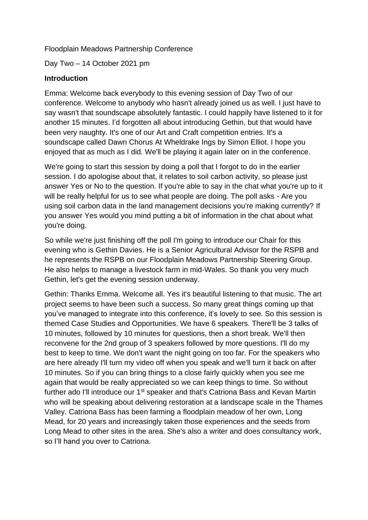Floodplain Meadows Partnership Conference

Day Two – 14 October 2021 pm

### **Introduction**

Emma: Welcome back everybody to this evening session of Day Two of our conference. Welcome to anybody who hasn't already joined us as well. I just have to say wasn't that soundscape absolutely fantastic. I could happily have listened to it for another 15 minutes. I'd forgotten all about introducing Gethin, but that would have been very naughty. It's one of our Art and Craft competition entries. It's a soundscape called Dawn Chorus At Wheldrake Ings by Simon Elliot. I hope you enjoyed that as much as I did. We'll be playing it again later on in the conference.

We're going to start this session by doing a poll that I forgot to do in the earlier session. I do apologise about that, it relates to soil carbon activity, so please just answer Yes or No to the question. If you're able to say in the chat what you're up to it will be really helpful for us to see what people are doing. The poll asks - Are you using soil carbon data in the land management decisions you're making currently? If you answer Yes would you mind putting a bit of information in the chat about what you're doing.

So while we're just finishing off the poll I'm going to introduce our Chair for this evening who is Gethin Davies. He is a Senior Agricultural Advisor for the RSPB and he represents the RSPB on our Floodplain Meadows Partnership Steering Group. He also helps to manage a livestock farm in mid-Wales. So thank you very much Gethin, let's get the evening session underway.

Gethin: Thanks Emma. Welcome all. Yes it's beautiful listening to that music. The art project seems to have been such a success. So many great things coming up that you've managed to integrate into this conference, it's lovely to see. So this session is themed Case Studies and Opportunities. We have 6 speakers. There'll be 3 talks of 10 minutes, followed by 10 minutes for questions, then a short break. We'll then reconvene for the 2nd group of 3 speakers followed by more questions. I'll do my best to keep to time. We don't want the night going on too far. For the speakers who are here already I'll turn my video off when you speak and we'll turn it back on after 10 minutes. So if you can bring things to a close fairly quickly when you see me again that would be really appreciated so we can keep things to time. So without further ado I'll introduce our 1<sup>st</sup> speaker and that's Catriona Bass and Kevan Martin who will be speaking about delivering restoration at a landscape scale in the Thames Valley. Catriona Bass has been farming a floodplain meadow of her own, Long Mead, for 20 years and increasingly taken those experiences and the seeds from Long Mead to other sites in the area. She's also a writer and does consultancy work, so I'll hand you over to Catriona.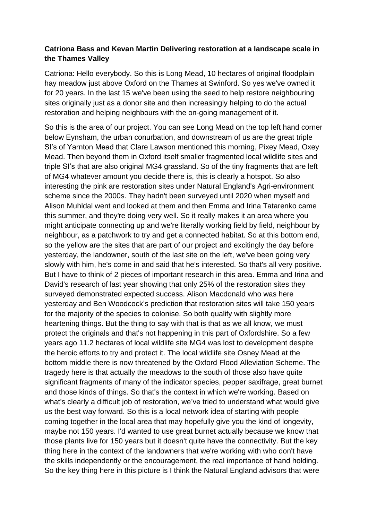## **Catriona Bass and Kevan Martin Delivering restoration at a landscape scale in the Thames Valley**

Catriona: Hello everybody. So this is Long Mead, 10 hectares of original floodplain hay meadow just above Oxford on the Thames at Swinford. So yes we've owned it for 20 years. In the last 15 we've been using the seed to help restore neighbouring sites originally just as a donor site and then increasingly helping to do the actual restoration and helping neighbours with the on-going management of it.

So this is the area of our project. You can see Long Mead on the top left hand corner below Eynsham, the urban conurbation, and downstream of us are the great triple SI's of Yarnton Mead that Clare Lawson mentioned this morning, Pixey Mead, Oxey Mead. Then beyond them in Oxford itself smaller fragmented local wildlife sites and triple SI's that are also original MG4 grassland. So of the tiny fragments that are left of MG4 whatever amount you decide there is, this is clearly a hotspot. So also interesting the pink are restoration sites under Natural England's Agri-environment scheme since the 2000s. They hadn't been surveyed until 2020 when myself and Alison Muhldal went and looked at them and then Emma and Irina Tatarenko came this summer, and they're doing very well. So it really makes it an area where you might anticipate connecting up and we're literally working field by field, neighbour by neighbour, as a patchwork to try and get a connected habitat. So at this bottom end, so the yellow are the sites that are part of our project and excitingly the day before yesterday, the landowner, south of the last site on the left, we've been going very slowly with him, he's come in and said that he's interested. So that's all very positive. But I have to think of 2 pieces of important research in this area. Emma and Irina and David's research of last year showing that only 25% of the restoration sites they surveyed demonstrated expected success. Alison Macdonald who was here yesterday and Ben Woodcock's prediction that restoration sites will take 150 years for the majority of the species to colonise. So both qualify with slightly more heartening things. But the thing to say with that is that as we all know, we must protect the originals and that's not happening in this part of Oxfordshire. So a few years ago 11.2 hectares of local wildlife site MG4 was lost to development despite the heroic efforts to try and protect it. The local wildlife site Osney Mead at the bottom middle there is now threatened by the Oxford Flood Alleviation Scheme. The tragedy here is that actually the meadows to the south of those also have quite significant fragments of many of the indicator species, pepper saxifrage, great burnet and those kinds of things. So that's the context in which we're working. Based on what's clearly a difficult job of restoration, we've tried to understand what would give us the best way forward. So this is a local network idea of starting with people coming together in the local area that may hopefully give you the kind of longevity, maybe not 150 years. I'd wanted to use great burnet actually because we know that those plants live for 150 years but it doesn't quite have the connectivity. But the key thing here in the context of the landowners that we're working with who don't have the skills independently or the encouragement, the real importance of hand holding. So the key thing here in this picture is I think the Natural England advisors that were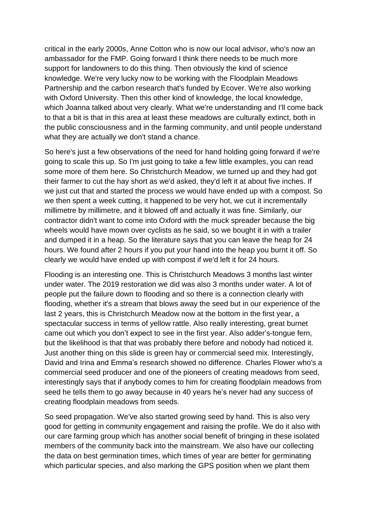critical in the early 2000s, Anne Cotton who is now our local advisor, who's now an ambassador for the FMP. Going forward I think there needs to be much more support for landowners to do this thing. Then obviously the kind of science knowledge. We're very lucky now to be working with the Floodplain Meadows Partnership and the carbon research that's funded by Ecover. We're also working with Oxford University. Then this other kind of knowledge, the local knowledge, which Joanna talked about very clearly. What we're understanding and I'll come back to that a bit is that in this area at least these meadows are culturally extinct, both in the public consciousness and in the farming community, and until people understand what they are actually we don't stand a chance.

So here's just a few observations of the need for hand holding going forward if we're going to scale this up. So I'm just going to take a few little examples, you can read some more of them here. So Christchurch Meadow, we turned up and they had got their farmer to cut the hay short as we'd asked, they'd left it at about five inches. If we just cut that and started the process we would have ended up with a compost. So we then spent a week cutting, it happened to be very hot, we cut it incrementally millimetre by millimetre, and it blowed off and actually it was fine. Similarly, our contractor didn't want to come into Oxford with the muck spreader because the big wheels would have mown over cyclists as he said, so we bought it in with a trailer and dumped it in a heap. So the literature says that you can leave the heap for 24 hours. We found after 2 hours if you put your hand into the heap you burnt it off. So clearly we would have ended up with compost if we'd left it for 24 hours.

Flooding is an interesting one. This is Christchurch Meadows 3 months last winter under water. The 2019 restoration we did was also 3 months under water. A lot of people put the failure down to flooding and so there is a connection clearly with flooding, whether it's a stream that blows away the seed but in our experience of the last 2 years, this is Christchurch Meadow now at the bottom in the first year, a spectacular success in terms of yellow rattle. Also really interesting, great burnet came out which you don't expect to see in the first year. Also adder's-tongue fern, but the likelihood is that that was probably there before and nobody had noticed it. Just another thing on this slide is green hay or commercial seed mix. Interestingly, David and Irina and Emma's research showed no difference. Charles Flower who's a commercial seed producer and one of the pioneers of creating meadows from seed, interestingly says that if anybody comes to him for creating floodplain meadows from seed he tells them to go away because in 40 years he's never had any success of creating floodplain meadows from seeds.

So seed propagation. We've also started growing seed by hand. This is also very good for getting in community engagement and raising the profile. We do it also with our care farming group which has another social benefit of bringing in these isolated members of the community back into the mainstream. We also have our collecting the data on best germination times, which times of year are better for germinating which particular species, and also marking the GPS position when we plant them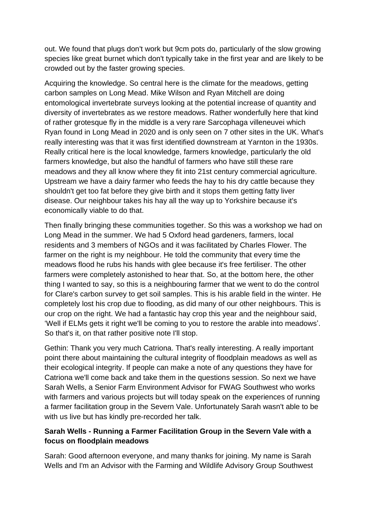out. We found that plugs don't work but 9cm pots do, particularly of the slow growing species like great burnet which don't typically take in the first year and are likely to be crowded out by the faster growing species.

Acquiring the knowledge. So central here is the climate for the meadows, getting carbon samples on Long Mead. Mike Wilson and Ryan Mitchell are doing entomological invertebrate surveys looking at the potential increase of quantity and diversity of invertebrates as we restore meadows. Rather wonderfully here that kind of rather grotesque fly in the middle is a very rare Sarcophaga villeneuvei which Ryan found in Long Mead in 2020 and is only seen on 7 other sites in the UK. What's really interesting was that it was first identified downstream at Yarnton in the 1930s. Really critical here is the local knowledge, farmers knowledge, particularly the old farmers knowledge, but also the handful of farmers who have still these rare meadows and they all know where they fit into 21st century commercial agriculture. Upstream we have a dairy farmer who feeds the hay to his dry cattle because they shouldn't get too fat before they give birth and it stops them getting fatty liver disease. Our neighbour takes his hay all the way up to Yorkshire because it's economically viable to do that.

Then finally bringing these communities together. So this was a workshop we had on Long Mead in the summer. We had 5 Oxford head gardeners, farmers, local residents and 3 members of NGOs and it was facilitated by Charles Flower. The farmer on the right is my neighbour. He told the community that every time the meadows flood he rubs his hands with glee because it's free fertiliser. The other farmers were completely astonished to hear that. So, at the bottom here, the other thing I wanted to say, so this is a neighbouring farmer that we went to do the control for Clare's carbon survey to get soil samples. This is his arable field in the winter. He completely lost his crop due to flooding, as did many of our other neighbours. This is our crop on the right. We had a fantastic hay crop this year and the neighbour said, 'Well if ELMs gets it right we'll be coming to you to restore the arable into meadows'. So that's it, on that rather positive note I'll stop.

Gethin: Thank you very much Catriona. That's really interesting. A really important point there about maintaining the cultural integrity of floodplain meadows as well as their ecological integrity. If people can make a note of any questions they have for Catriona we'll come back and take them in the questions session. So next we have Sarah Wells, a Senior Farm Environment Advisor for FWAG Southwest who works with farmers and various projects but will today speak on the experiences of running a farmer facilitation group in the Severn Vale. Unfortunately Sarah wasn't able to be with us live but has kindly pre-recorded her talk.

# **Sarah Wells - Running a Farmer Facilitation Group in the Severn Vale with a focus on floodplain meadows**

Sarah: Good afternoon everyone, and many thanks for joining. My name is Sarah Wells and I'm an Advisor with the Farming and Wildlife Advisory Group Southwest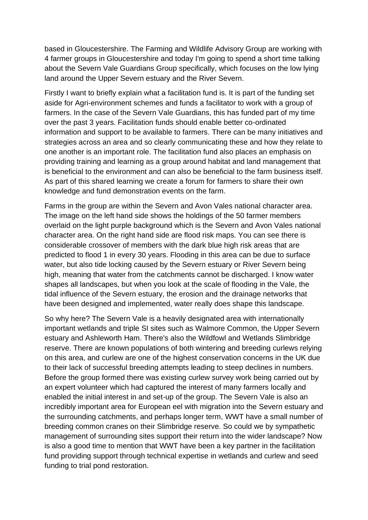based in Gloucestershire. The Farming and Wildlife Advisory Group are working with 4 farmer groups in Gloucestershire and today I'm going to spend a short time talking about the Severn Vale Guardians Group specifically, which focuses on the low lying land around the Upper Severn estuary and the River Severn.

Firstly I want to briefly explain what a facilitation fund is. It is part of the funding set aside for Agri-environment schemes and funds a facilitator to work with a group of farmers. In the case of the Severn Vale Guardians, this has funded part of my time over the past 3 years. Facilitation funds should enable better co-ordinated information and support to be available to farmers. There can be many initiatives and strategies across an area and so clearly communicating these and how they relate to one another is an important role. The facilitation fund also places an emphasis on providing training and learning as a group around habitat and land management that is beneficial to the environment and can also be beneficial to the farm business itself. As part of this shared learning we create a forum for farmers to share their own knowledge and fund demonstration events on the farm.

Farms in the group are within the Severn and Avon Vales national character area. The image on the left hand side shows the holdings of the 50 farmer members overlaid on the light purple background which is the Severn and Avon Vales national character area. On the right hand side are flood risk maps. You can see there is considerable crossover of members with the dark blue high risk areas that are predicted to flood 1 in every 30 years. Flooding in this area can be due to surface water, but also tide locking caused by the Severn estuary or River Severn being high, meaning that water from the catchments cannot be discharged. I know water shapes all landscapes, but when you look at the scale of flooding in the Vale, the tidal influence of the Severn estuary, the erosion and the drainage networks that have been designed and implemented, water really does shape this landscape.

So why here? The Severn Vale is a heavily designated area with internationally important wetlands and triple SI sites such as Walmore Common, the Upper Severn estuary and Ashleworth Ham. There's also the Wildfowl and Wetlands Slimbridge reserve. There are known populations of both wintering and breeding curlews relying on this area, and curlew are one of the highest conservation concerns in the UK due to their lack of successful breeding attempts leading to steep declines in numbers. Before the group formed there was existing curlew survey work being carried out by an expert volunteer which had captured the interest of many farmers locally and enabled the initial interest in and set-up of the group. The Severn Vale is also an incredibly important area for European eel with migration into the Severn estuary and the surrounding catchments, and perhaps longer term, WWT have a small number of breeding common cranes on their Slimbridge reserve. So could we by sympathetic management of surrounding sites support their return into the wider landscape? Now is also a good time to mention that WWT have been a key partner in the facilitation fund providing support through technical expertise in wetlands and curlew and seed funding to trial pond restoration.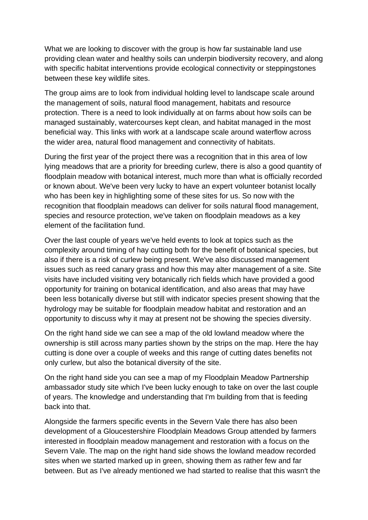What we are looking to discover with the group is how far sustainable land use providing clean water and healthy soils can underpin biodiversity recovery, and along with specific habitat interventions provide ecological connectivity or steppingstones between these key wildlife sites.

The group aims are to look from individual holding level to landscape scale around the management of soils, natural flood management, habitats and resource protection. There is a need to look individually at on farms about how soils can be managed sustainably, watercourses kept clean, and habitat managed in the most beneficial way. This links with work at a landscape scale around waterflow across the wider area, natural flood management and connectivity of habitats.

During the first year of the project there was a recognition that in this area of low lying meadows that are a priority for breeding curlew, there is also a good quantity of floodplain meadow with botanical interest, much more than what is officially recorded or known about. We've been very lucky to have an expert volunteer botanist locally who has been key in highlighting some of these sites for us. So now with the recognition that floodplain meadows can deliver for soils natural flood management, species and resource protection, we've taken on floodplain meadows as a key element of the facilitation fund.

Over the last couple of years we've held events to look at topics such as the complexity around timing of hay cutting both for the benefit of botanical species, but also if there is a risk of curlew being present. We've also discussed management issues such as reed canary grass and how this may alter management of a site. Site visits have included visiting very botanically rich fields which have provided a good opportunity for training on botanical identification, and also areas that may have been less botanically diverse but still with indicator species present showing that the hydrology may be suitable for floodplain meadow habitat and restoration and an opportunity to discuss why it may at present not be showing the species diversity.

On the right hand side we can see a map of the old lowland meadow where the ownership is still across many parties shown by the strips on the map. Here the hay cutting is done over a couple of weeks and this range of cutting dates benefits not only curlew, but also the botanical diversity of the site.

On the right hand side you can see a map of my Floodplain Meadow Partnership ambassador study site which I've been lucky enough to take on over the last couple of years. The knowledge and understanding that I'm building from that is feeding back into that.

Alongside the farmers specific events in the Severn Vale there has also been development of a Gloucestershire Floodplain Meadows Group attended by farmers interested in floodplain meadow management and restoration with a focus on the Severn Vale. The map on the right hand side shows the lowland meadow recorded sites when we started marked up in green, showing them as rather few and far between. But as I've already mentioned we had started to realise that this wasn't the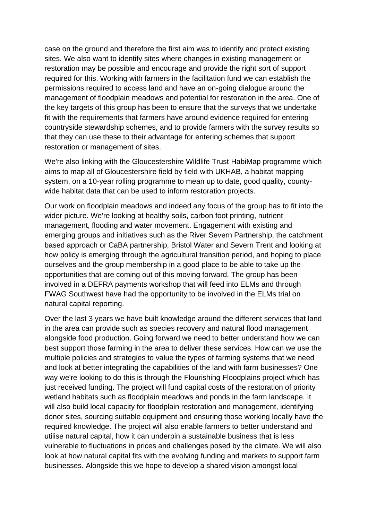case on the ground and therefore the first aim was to identify and protect existing sites. We also want to identify sites where changes in existing management or restoration may be possible and encourage and provide the right sort of support required for this. Working with farmers in the facilitation fund we can establish the permissions required to access land and have an on-going dialogue around the management of floodplain meadows and potential for restoration in the area. One of the key targets of this group has been to ensure that the surveys that we undertake fit with the requirements that farmers have around evidence required for entering countryside stewardship schemes, and to provide farmers with the survey results so that they can use these to their advantage for entering schemes that support restoration or management of sites.

We're also linking with the Gloucestershire Wildlife Trust HabiMap programme which aims to map all of Gloucestershire field by field with UKHAB, a habitat mapping system, on a 10-year rolling programme to mean up to date, good quality, countywide habitat data that can be used to inform restoration projects.

Our work on floodplain meadows and indeed any focus of the group has to fit into the wider picture. We're looking at healthy soils, carbon foot printing, nutrient management, flooding and water movement. Engagement with existing and emerging groups and initiatives such as the River Severn Partnership, the catchment based approach or CaBA partnership, Bristol Water and Severn Trent and looking at how policy is emerging through the agricultural transition period, and hoping to place ourselves and the group membership in a good place to be able to take up the opportunities that are coming out of this moving forward. The group has been involved in a DEFRA payments workshop that will feed into ELMs and through FWAG Southwest have had the opportunity to be involved in the ELMs trial on natural capital reporting.

Over the last 3 years we have built knowledge around the different services that land in the area can provide such as species recovery and natural flood management alongside food production. Going forward we need to better understand how we can best support those farming in the area to deliver these services. How can we use the multiple policies and strategies to value the types of farming systems that we need and look at better integrating the capabilities of the land with farm businesses? One way we're looking to do this is through the Flourishing Floodplains project which has just received funding. The project will fund capital costs of the restoration of priority wetland habitats such as floodplain meadows and ponds in the farm landscape. It will also build local capacity for floodplain restoration and management, identifying donor sites, sourcing suitable equipment and ensuring those working locally have the required knowledge. The project will also enable farmers to better understand and utilise natural capital, how it can underpin a sustainable business that is less vulnerable to fluctuations in prices and challenges posed by the climate. We will also look at how natural capital fits with the evolving funding and markets to support farm businesses. Alongside this we hope to develop a shared vision amongst local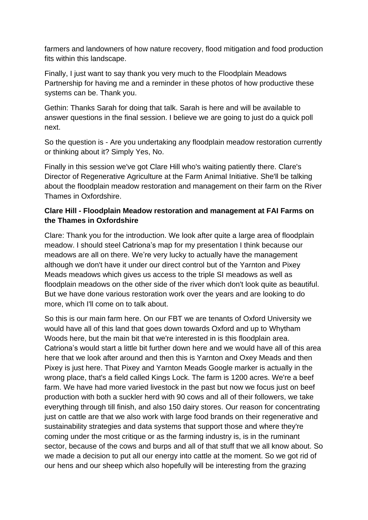farmers and landowners of how nature recovery, flood mitigation and food production fits within this landscape.

Finally, I just want to say thank you very much to the Floodplain Meadows Partnership for having me and a reminder in these photos of how productive these systems can be. Thank you.

Gethin: Thanks Sarah for doing that talk. Sarah is here and will be available to answer questions in the final session. I believe we are going to just do a quick poll next.

So the question is - Are you undertaking any floodplain meadow restoration currently or thinking about it? Simply Yes, No.

Finally in this session we've got Clare Hill who's waiting patiently there. Clare's Director of Regenerative Agriculture at the Farm Animal Initiative. She'll be talking about the floodplain meadow restoration and management on their farm on the River Thames in Oxfordshire.

# **Clare Hill - Floodplain Meadow restoration and management at FAI Farms on the Thames in Oxfordshire**

Clare: Thank you for the introduction. We look after quite a large area of floodplain meadow. I should steel Catriona's map for my presentation I think because our meadows are all on there. We're very lucky to actually have the management although we don't have it under our direct control but of the Yarnton and Pixey Meads meadows which gives us access to the triple SI meadows as well as floodplain meadows on the other side of the river which don't look quite as beautiful. But we have done various restoration work over the years and are looking to do more, which I'll come on to talk about.

So this is our main farm here. On our FBT we are tenants of Oxford University we would have all of this land that goes down towards Oxford and up to Whytham Woods here, but the main bit that we're interested in is this floodplain area. Catriona's would start a little bit further down here and we would have all of this area here that we look after around and then this is Yarnton and Oxey Meads and then Pixey is just here. That Pixey and Yarnton Meads Google marker is actually in the wrong place, that's a field called Kings Lock. The farm is 1200 acres. We're a beef farm. We have had more varied livestock in the past but now we focus just on beef production with both a suckler herd with 90 cows and all of their followers, we take everything through till finish, and also 150 dairy stores. Our reason for concentrating just on cattle are that we also work with large food brands on their regenerative and sustainability strategies and data systems that support those and where they're coming under the most critique or as the farming industry is, is in the ruminant sector, because of the cows and burps and all of that stuff that we all know about. So we made a decision to put all our energy into cattle at the moment. So we got rid of our hens and our sheep which also hopefully will be interesting from the grazing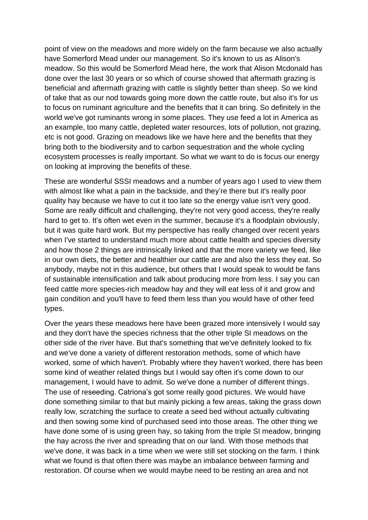point of view on the meadows and more widely on the farm because we also actually have Somerford Mead under our management. So it's known to us as Alison's meadow. So this would be Somerford Mead here, the work that Alison Mcdonald has done over the last 30 years or so which of course showed that aftermath grazing is beneficial and aftermath grazing with cattle is slightly better than sheep. So we kind of take that as our nod towards going more down the cattle route, but also it's for us to focus on ruminant agriculture and the benefits that it can bring. So definitely in the world we've got ruminants wrong in some places. They use feed a lot in America as an example, too many cattle, depleted water resources, lots of pollution, not grazing, etc is not good. Grazing on meadows like we have here and the benefits that they bring both to the biodiversity and to carbon sequestration and the whole cycling ecosystem processes is really important. So what we want to do is focus our energy on looking at improving the benefits of these.

These are wonderful SSSI meadows and a number of years ago I used to view them with almost like what a pain in the backside, and they're there but it's really poor quality hay because we have to cut it too late so the energy value isn't very good. Some are really difficult and challenging, they're not very good access, they're really hard to get to. It's often wet even in the summer, because it's a floodplain obviously, but it was quite hard work. But my perspective has really changed over recent years when I've started to understand much more about cattle health and species diversity and how those 2 things are intrinsically linked and that the more variety we feed, like in our own diets, the better and healthier our cattle are and also the less they eat. So anybody, maybe not in this audience, but others that I would speak to would be fans of sustainable intensification and talk about producing more from less. I say you can feed cattle more species-rich meadow hay and they will eat less of it and grow and gain condition and you'll have to feed them less than you would have of other feed types.

Over the years these meadows here have been grazed more intensively I would say and they don't have the species richness that the other triple SI meadows on the other side of the river have. But that's something that we've definitely looked to fix and we've done a variety of different restoration methods, some of which have worked, some of which haven't. Probably where they haven't worked, there has been some kind of weather related things but I would say often it's come down to our management, I would have to admit. So we've done a number of different things. The use of reseeding. Catriona's got some really good pictures. We would have done something similar to that but mainly picking a few areas, taking the grass down really low, scratching the surface to create a seed bed without actually cultivating and then sowing some kind of purchased seed into those areas. The other thing we have done some of is using green hay, so taking from the triple SI meadow, bringing the hay across the river and spreading that on our land. With those methods that we've done, it was back in a time when we were still set stocking on the farm. I think what we found is that often there was maybe an imbalance between farming and restoration. Of course when we would maybe need to be resting an area and not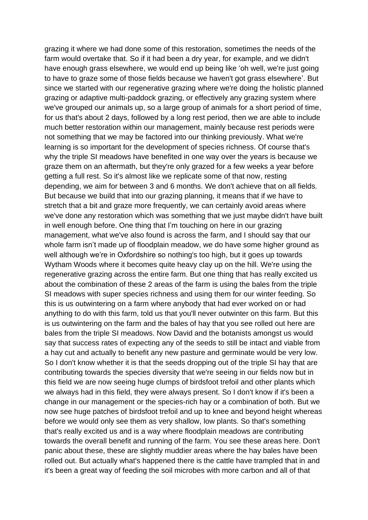grazing it where we had done some of this restoration, sometimes the needs of the farm would overtake that. So if it had been a dry year, for example, and we didn't have enough grass elsewhere, we would end up being like 'oh well, we're just going to have to graze some of those fields because we haven't got grass elsewhere'. But since we started with our regenerative grazing where we're doing the holistic planned grazing or adaptive multi-paddock grazing, or effectively any grazing system where we've grouped our animals up, so a large group of animals for a short period of time, for us that's about 2 days, followed by a long rest period, then we are able to include much better restoration within our management, mainly because rest periods were not something that we may be factored into our thinking previously. What we're learning is so important for the development of species richness. Of course that's why the triple SI meadows have benefited in one way over the years is because we graze them on an aftermath, but they're only grazed for a few weeks a year before getting a full rest. So it's almost like we replicate some of that now, resting depending, we aim for between 3 and 6 months. We don't achieve that on all fields. But because we build that into our grazing planning, it means that if we have to stretch that a bit and graze more frequently, we can certainly avoid areas where we've done any restoration which was something that we just maybe didn't have built in well enough before. One thing that I'm touching on here in our grazing management, what we've also found is across the farm, and I should say that our whole farm isn't made up of floodplain meadow, we do have some higher ground as well although we're in Oxfordshire so nothing's too high, but it goes up towards Wytham Woods where it becomes quite heavy clay up on the hill. We're using the regenerative grazing across the entire farm. But one thing that has really excited us about the combination of these 2 areas of the farm is using the bales from the triple SI meadows with super species richness and using them for our winter feeding. So this is us outwintering on a farm where anybody that had ever worked on or had anything to do with this farm, told us that you'll never outwinter on this farm. But this is us outwintering on the farm and the bales of hay that you see rolled out here are bales from the triple SI meadows. Now David and the botanists amongst us would say that success rates of expecting any of the seeds to still be intact and viable from a hay cut and actually to benefit any new pasture and germinate would be very low. So I don't know whether it is that the seeds dropping out of the triple SI hay that are contributing towards the species diversity that we're seeing in our fields now but in this field we are now seeing huge clumps of birdsfoot trefoil and other plants which we always had in this field, they were always present. So I don't know if it's been a change in our management or the species-rich hay or a combination of both. But we now see huge patches of birdsfoot trefoil and up to knee and beyond height whereas before we would only see them as very shallow, low plants. So that's something that's really excited us and is a way where floodplain meadows are contributing towards the overall benefit and running of the farm. You see these areas here. Don't panic about these, these are slightly muddier areas where the hay bales have been rolled out. But actually what's happened there is the cattle have trampled that in and it's been a great way of feeding the soil microbes with more carbon and all of that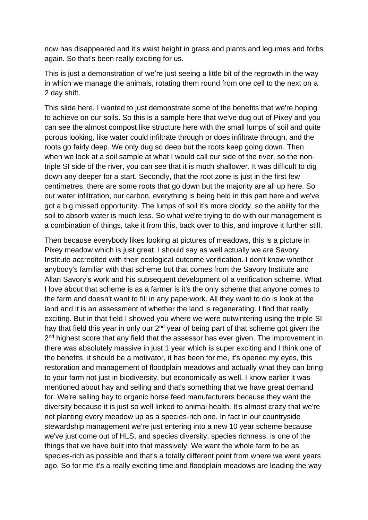now has disappeared and it's waist height in grass and plants and legumes and forbs again. So that's been really exciting for us.

This is just a demonstration of we're just seeing a little bit of the regrowth in the way in which we manage the animals, rotating them round from one cell to the next on a 2 day shift.

This slide here, I wanted to just demonstrate some of the benefits that we're hoping to achieve on our soils. So this is a sample here that we've dug out of Pixey and you can see the almost compost like structure here with the small lumps of soil and quite porous looking, like water could infiltrate through or does infiltrate through, and the roots go fairly deep. We only dug so deep but the roots keep going down. Then when we look at a soil sample at what I would call our side of the river, so the nontriple SI side of the river, you can see that it is much shallower. It was difficult to dig down any deeper for a start. Secondly, that the root zone is just in the first few centimetres, there are some roots that go down but the majority are all up here. So our water infiltration, our carbon, everything is being held in this part here and we've got a big missed opportunity. The lumps of soil it's more cloddy, so the ability for the soil to absorb water is much less. So what we're trying to do with our management is a combination of things, take it from this, back over to this, and improve it further still.

Then because everybody likes looking at pictures of meadows, this is a picture in Pixey meadow which is just great. I should say as well actually we are Savory Institute accredited with their ecological outcome verification. I don't know whether anybody's familiar with that scheme but that comes from the Savory Institute and Allan Savory's work and his subsequent development of a verification scheme. What I love about that scheme is as a farmer is it's the only scheme that anyone comes to the farm and doesn't want to fill in any paperwork. All they want to do is look at the land and it is an assessment of whether the land is regenerating. I find that really exciting. But in that field I showed you where we were outwintering using the triple SI hay that field this year in only our 2<sup>nd</sup> year of being part of that scheme got given the 2<sup>nd</sup> highest score that any field that the assessor has ever given. The improvement in there was absolutely massive in just 1 year which is super exciting and I think one of the benefits, it should be a motivator, it has been for me, it's opened my eyes, this restoration and management of floodplain meadows and actually what they can bring to your farm not just in biodiversity, but economically as well. I know earlier it was mentioned about hay and selling and that's something that we have great demand for. We're selling hay to organic horse feed manufacturers because they want the diversity because it is just so well linked to animal health. It's almost crazy that we're not planting every meadow up as a species-rich one. In fact in our countryside stewardship management we're just entering into a new 10 year scheme because we've just come out of HLS, and species diversity, species richness, is one of the things that we have built into that massively. We want the whole farm to be as species-rich as possible and that's a totally different point from where we were years ago. So for me it's a really exciting time and floodplain meadows are leading the way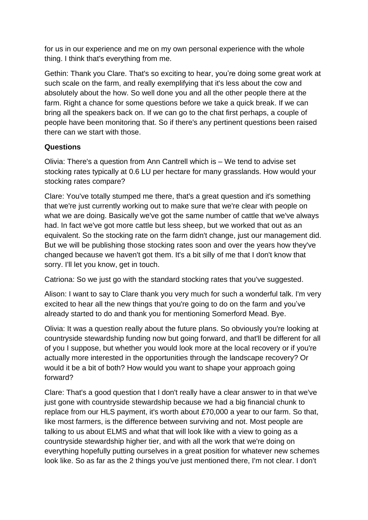for us in our experience and me on my own personal experience with the whole thing. I think that's everything from me.

Gethin: Thank you Clare. That's so exciting to hear, you're doing some great work at such scale on the farm, and really exemplifying that it's less about the cow and absolutely about the how. So well done you and all the other people there at the farm. Right a chance for some questions before we take a quick break. If we can bring all the speakers back on. If we can go to the chat first perhaps, a couple of people have been monitoring that. So if there's any pertinent questions been raised there can we start with those.

# **Questions**

Olivia: There's a question from Ann Cantrell which is – We tend to advise set stocking rates typically at 0.6 LU per hectare for many grasslands. How would your stocking rates compare?

Clare: You've totally stumped me there, that's a great question and it's something that we're just currently working out to make sure that we're clear with people on what we are doing. Basically we've got the same number of cattle that we've always had. In fact we've got more cattle but less sheep, but we worked that out as an equivalent. So the stocking rate on the farm didn't change, just our management did. But we will be publishing those stocking rates soon and over the years how they've changed because we haven't got them. It's a bit silly of me that I don't know that sorry. I'll let you know, get in touch.

Catriona: So we just go with the standard stocking rates that you've suggested.

Alison: I want to say to Clare thank you very much for such a wonderful talk. I'm very excited to hear all the new things that you're going to do on the farm and you've already started to do and thank you for mentioning Somerford Mead. Bye.

Olivia: It was a question really about the future plans. So obviously you're looking at countryside stewardship funding now but going forward, and that'll be different for all of you I suppose, but whether you would look more at the local recovery or if you're actually more interested in the opportunities through the landscape recovery? Or would it be a bit of both? How would you want to shape your approach going forward?

Clare: That's a good question that I don't really have a clear answer to in that we've just gone with countryside stewardship because we had a big financial chunk to replace from our HLS payment, it's worth about £70,000 a year to our farm. So that, like most farmers, is the difference between surviving and not. Most people are talking to us about ELMS and what that will look like with a view to going as a countryside stewardship higher tier, and with all the work that we're doing on everything hopefully putting ourselves in a great position for whatever new schemes look like. So as far as the 2 things you've just mentioned there, I'm not clear. I don't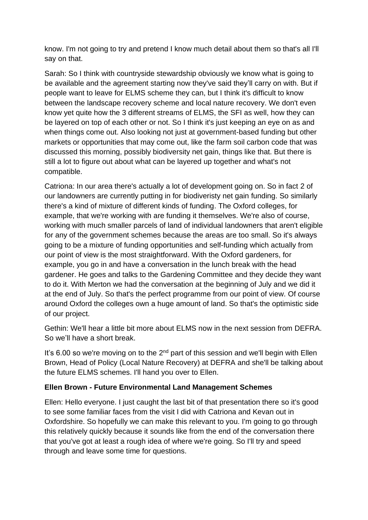know. I'm not going to try and pretend I know much detail about them so that's all I'll say on that.

Sarah: So I think with countryside stewardship obviously we know what is going to be available and the agreement starting now they've said they'll carry on with. But if people want to leave for ELMS scheme they can, but I think it's difficult to know between the landscape recovery scheme and local nature recovery. We don't even know yet quite how the 3 different streams of ELMS, the SFI as well, how they can be layered on top of each other or not. So I think it's just keeping an eye on as and when things come out. Also looking not just at government-based funding but other markets or opportunities that may come out, like the farm soil carbon code that was discussed this morning, possibly biodiversity net gain, things like that. But there is still a lot to figure out about what can be layered up together and what's not compatible.

Catriona: In our area there's actually a lot of development going on. So in fact 2 of our landowners are currently putting in for biodiveristy net gain funding. So similarly there's a kind of mixture of different kinds of funding. The Oxford colleges, for example, that we're working with are funding it themselves. We're also of course, working with much smaller parcels of land of individual landowners that aren't eligible for any of the government schemes because the areas are too small. So it's always going to be a mixture of funding opportunities and self-funding which actually from our point of view is the most straightforward. With the Oxford gardeners, for example, you go in and have a conversation in the lunch break with the head gardener. He goes and talks to the Gardening Committee and they decide they want to do it. With Merton we had the conversation at the beginning of July and we did it at the end of July. So that's the perfect programme from our point of view. Of course around Oxford the colleges own a huge amount of land. So that's the optimistic side of our project.

Gethin: We'll hear a little bit more about ELMS now in the next session from DEFRA. So we'll have a short break.

It's 6.00 so we're moving on to the  $2<sup>nd</sup>$  part of this session and we'll begin with Ellen Brown, Head of Policy (Local Nature Recovery) at DEFRA and she'll be talking about the future ELMS schemes. I'll hand you over to Ellen.

## **Ellen Brown - Future Environmental Land Management Schemes**

Ellen: Hello everyone. I just caught the last bit of that presentation there so it's good to see some familiar faces from the visit I did with Catriona and Kevan out in Oxfordshire. So hopefully we can make this relevant to you. I'm going to go through this relatively quickly because it sounds like from the end of the conversation there that you've got at least a rough idea of where we're going. So I'll try and speed through and leave some time for questions.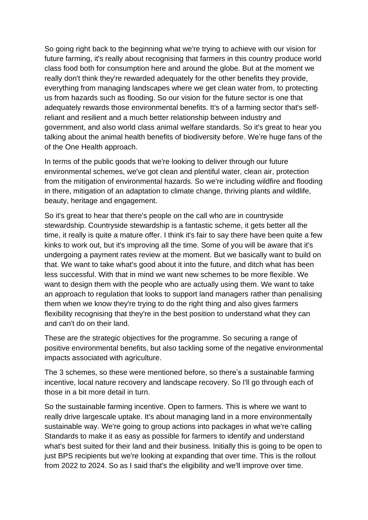So going right back to the beginning what we're trying to achieve with our vision for future farming, it's really about recognising that farmers in this country produce world class food both for consumption here and around the globe. But at the moment we really don't think they're rewarded adequately for the other benefits they provide, everything from managing landscapes where we get clean water from, to protecting us from hazards such as flooding. So our vision for the future sector is one that adequately rewards those environmental benefits. It's of a farming sector that's selfreliant and resilient and a much better relationship between industry and government, and also world class animal welfare standards. So it's great to hear you talking about the animal health benefits of biodiversity before. We're huge fans of the of the One Health approach.

In terms of the public goods that we're looking to deliver through our future environmental schemes, we've got clean and plentiful water, clean air, protection from the mitigation of environmental hazards. So we're including wildfire and flooding in there, mitigation of an adaptation to climate change, thriving plants and wildlife, beauty, heritage and engagement.

So it's great to hear that there's people on the call who are in countryside stewardship. Countryside stewardship is a fantastic scheme, it gets better all the time, it really is quite a mature offer. I think it's fair to say there have been quite a few kinks to work out, but it's improving all the time. Some of you will be aware that it's undergoing a payment rates review at the moment. But we basically want to build on that. We want to take what's good about it into the future, and ditch what has been less successful. With that in mind we want new schemes to be more flexible. We want to design them with the people who are actually using them. We want to take an approach to regulation that looks to support land managers rather than penalising them when we know they're trying to do the right thing and also gives farmers flexibility recognising that they're in the best position to understand what they can and can't do on their land.

These are the strategic objectives for the programme. So securing a range of positive environmental benefits, but also tackling some of the negative environmental impacts associated with agriculture.

The 3 schemes, so these were mentioned before, so there's a sustainable farming incentive, local nature recovery and landscape recovery. So I'll go through each of those in a bit more detail in turn.

So the sustainable farming incentive. Open to farmers. This is where we want to really drive largescale uptake. It's about managing land in a more environmentally sustainable way. We're going to group actions into packages in what we're calling Standards to make it as easy as possible for farmers to identify and understand what's best suited for their land and their business. Initially this is going to be open to just BPS recipients but we're looking at expanding that over time. This is the rollout from 2022 to 2024. So as I said that's the eligibility and we'll improve over time.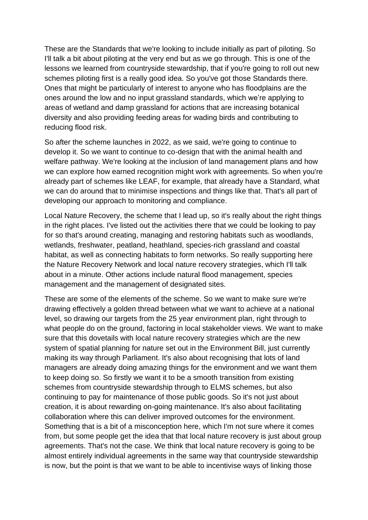These are the Standards that we're looking to include initially as part of piloting. So I'll talk a bit about piloting at the very end but as we go through. This is one of the lessons we learned from countryside stewardship, that if you're going to roll out new schemes piloting first is a really good idea. So you've got those Standards there. Ones that might be particularly of interest to anyone who has floodplains are the ones around the low and no input grassland standards, which we're applying to areas of wetland and damp grassland for actions that are increasing botanical diversity and also providing feeding areas for wading birds and contributing to reducing flood risk.

So after the scheme launches in 2022, as we said, we're going to continue to develop it. So we want to continue to co-design that with the animal health and welfare pathway. We're looking at the inclusion of land management plans and how we can explore how earned recognition might work with agreements. So when you're already part of schemes like LEAF, for example, that already have a Standard, what we can do around that to minimise inspections and things like that. That's all part of developing our approach to monitoring and compliance.

Local Nature Recovery, the scheme that I lead up, so it's really about the right things in the right places. I've listed out the activities there that we could be looking to pay for so that's around creating, managing and restoring habitats such as woodlands, wetlands, freshwater, peatland, heathland, species-rich grassland and coastal habitat, as well as connecting habitats to form networks. So really supporting here the Nature Recovery Network and local nature recovery strategies, which I'll talk about in a minute. Other actions include natural flood management, species management and the management of designated sites.

These are some of the elements of the scheme. So we want to make sure we're drawing effectively a golden thread between what we want to achieve at a national level, so drawing our targets from the 25 year environment plan, right through to what people do on the ground, factoring in local stakeholder views. We want to make sure that this dovetails with local nature recovery strategies which are the new system of spatial planning for nature set out in the Environment Bill, just currently making its way through Parliament. It's also about recognising that lots of land managers are already doing amazing things for the environment and we want them to keep doing so. So firstly we want it to be a smooth transition from existing schemes from countryside stewardship through to ELMS schemes, but also continuing to pay for maintenance of those public goods. So it's not just about creation, it is about rewarding on-going maintenance. It's also about facilitating collaboration where this can deliver improved outcomes for the environment. Something that is a bit of a misconception here, which I'm not sure where it comes from, but some people get the idea that that local nature recovery is just about group agreements. That's not the case. We think that local nature recovery is going to be almost entirely individual agreements in the same way that countryside stewardship is now, but the point is that we want to be able to incentivise ways of linking those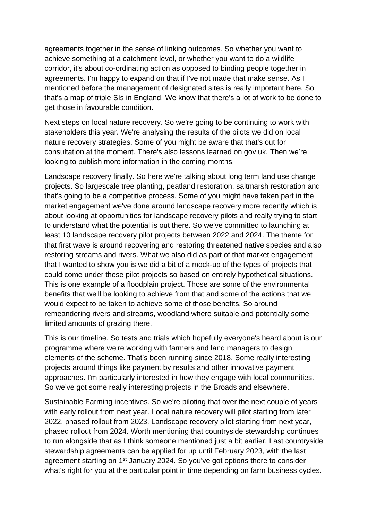agreements together in the sense of linking outcomes. So whether you want to achieve something at a catchment level, or whether you want to do a wildlife corridor, it's about co-ordinating action as opposed to binding people together in agreements. I'm happy to expand on that if I've not made that make sense. As I mentioned before the management of designated sites is really important here. So that's a map of triple SIs in England. We know that there's a lot of work to be done to get those in favourable condition.

Next steps on local nature recovery. So we're going to be continuing to work with stakeholders this year. We're analysing the results of the pilots we did on local nature recovery strategies. Some of you might be aware that that's out for consultation at the moment. There's also lessons learned on gov.uk. Then we're looking to publish more information in the coming months.

Landscape recovery finally. So here we're talking about long term land use change projects. So largescale tree planting, peatland restoration, saltmarsh restoration and that's going to be a competitive process. Some of you might have taken part in the market engagement we've done around landscape recovery more recently which is about looking at opportunities for landscape recovery pilots and really trying to start to understand what the potential is out there. So we've committed to launching at least 10 landscape recovery pilot projects between 2022 and 2024. The theme for that first wave is around recovering and restoring threatened native species and also restoring streams and rivers. What we also did as part of that market engagement that I wanted to show you is we did a bit of a mock-up of the types of projects that could come under these pilot projects so based on entirely hypothetical situations. This is one example of a floodplain project. Those are some of the environmental benefits that we'll be looking to achieve from that and some of the actions that we would expect to be taken to achieve some of those benefits. So around remeandering rivers and streams, woodland where suitable and potentially some limited amounts of grazing there.

This is our timeline. So tests and trials which hopefully everyone's heard about is our programme where we're working with farmers and land managers to design elements of the scheme. That's been running since 2018. Some really interesting projects around things like payment by results and other innovative payment approaches. I'm particularly interested in how they engage with local communities. So we've got some really interesting projects in the Broads and elsewhere.

Sustainable Farming incentives. So we're piloting that over the next couple of years with early rollout from next year. Local nature recovery will pilot starting from later 2022, phased rollout from 2023. Landscape recovery pilot starting from next year, phased rollout from 2024. Worth mentioning that countryside stewardship continues to run alongside that as I think someone mentioned just a bit earlier. Last countryside stewardship agreements can be applied for up until February 2023, with the last agreement starting on 1<sup>st</sup> January 2024. So you've got options there to consider what's right for you at the particular point in time depending on farm business cycles.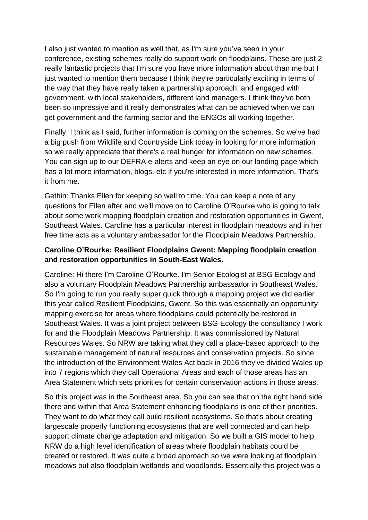I also just wanted to mention as well that, as I'm sure you've seen in your conference, existing schemes really do support work on floodplains. These are just 2 really fantastic projects that I'm sure you have more information about than me but I just wanted to mention them because I think they're particularly exciting in terms of the way that they have really taken a partnership approach, and engaged with government, with local stakeholders, different land managers. I think they've both been so impressive and it really demonstrates what can be achieved when we can get government and the farming sector and the ENGOs all working together.

Finally, I think as I said, further information is coming on the schemes. So we've had a big push from Wildlife and Countryside Link today in looking for more information so we really appreciate that there's a real hunger for information on new schemes. You can sign up to our DEFRA e-alerts and keep an eye on our landing page which has a lot more information, blogs, etc if you're interested in more information. That's it from me.

Gethin: Thanks Ellen for keeping so well to time. You can keep a note of any questions for Ellen after and we'll move on to Caroline O'Rourke who is going to talk about some work mapping floodplain creation and restoration opportunities in Gwent, Southeast Wales. Caroline has a particular interest in floodplain meadows and in her free time acts as a voluntary ambassador for the Floodplain Meadows Partnership.

# **Caroline O'Rourke: Resilient Floodplains Gwent: Mapping floodplain creation and restoration opportunities in South-East Wales.**

Caroline: Hi there I'm Caroline O'Rourke. I'm Senior Ecologist at BSG Ecology and also a voluntary Floodplain Meadows Partnership ambassador in Southeast Wales. So I'm going to run you really super quick through a mapping project we did earlier this year called Resilient Floodplains, Gwent. So this was essentially an opportunity mapping exercise for areas where floodplains could potentially be restored in Southeast Wales. It was a joint project between BSG Ecology the consultancy I work for and the Floodplain Meadows Partnership. It was commissioned by Natural Resources Wales. So NRW are taking what they call a place-based approach to the sustainable management of natural resources and conservation projects. So since the introduction of the Environment Wales Act back in 2016 they've divided Wales up into 7 regions which they call Operational Areas and each of those areas has an Area Statement which sets priorities for certain conservation actions in those areas.

So this project was in the Southeast area. So you can see that on the right hand side there and within that Area Statement enhancing floodplains is one of their priorities. They want to do what they call build resilient ecosystems. So that's about creating largescale properly functioning ecosystems that are well connected and can help support climate change adaptation and mitigation. So we built a GIS model to help NRW do a high level identification of areas where floodplain habitats could be created or restored. It was quite a broad approach so we were looking at floodplain meadows but also floodplain wetlands and woodlands. Essentially this project was a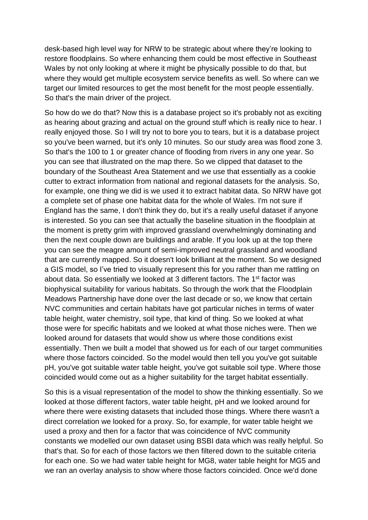desk-based high level way for NRW to be strategic about where they're looking to restore floodplains. So where enhancing them could be most effective in Southeast Wales by not only looking at where it might be physically possible to do that, but where they would get multiple ecosystem service benefits as well. So where can we target our limited resources to get the most benefit for the most people essentially. So that's the main driver of the project.

So how do we do that? Now this is a database project so it's probably not as exciting as hearing about grazing and actual on the ground stuff which is really nice to hear. I really enjoyed those. So I will try not to bore you to tears, but it is a database project so you've been warned, but it's only 10 minutes. So our study area was flood zone 3. So that's the 100 to 1 or greater chance of flooding from rivers in any one year. So you can see that illustrated on the map there. So we clipped that dataset to the boundary of the Southeast Area Statement and we use that essentially as a cookie cutter to extract information from national and regional datasets for the analysis. So, for example, one thing we did is we used it to extract habitat data. So NRW have got a complete set of phase one habitat data for the whole of Wales. I'm not sure if England has the same, I don't think they do, but it's a really useful dataset if anyone is interested. So you can see that actually the baseline situation in the floodplain at the moment is pretty grim with improved grassland overwhelmingly dominating and then the next couple down are buildings and arable. If you look up at the top there you can see the meagre amount of semi-improved neutral grassland and woodland that are currently mapped. So it doesn't look brilliant at the moment. So we designed a GIS model, so I've tried to visually represent this for you rather than me rattling on about data. So essentially we looked at 3 different factors. The 1st factor was biophysical suitability for various habitats. So through the work that the Floodplain Meadows Partnership have done over the last decade or so, we know that certain NVC communities and certain habitats have got particular niches in terms of water table height, water chemistry, soil type, that kind of thing. So we looked at what those were for specific habitats and we looked at what those niches were. Then we looked around for datasets that would show us where those conditions exist essentially. Then we built a model that showed us for each of our target communities where those factors coincided. So the model would then tell you you've got suitable pH, you've got suitable water table height, you've got suitable soil type. Where those coincided would come out as a higher suitability for the target habitat essentially.

So this is a visual representation of the model to show the thinking essentially. So we looked at those different factors, water table height, pH and we looked around for where there were existing datasets that included those things. Where there wasn't a direct correlation we looked for a proxy. So, for example, for water table height we used a proxy and then for a factor that was coincidence of NVC community constants we modelled our own dataset using BSBI data which was really helpful. So that's that. So for each of those factors we then filtered down to the suitable criteria for each one. So we had water table height for MG8, water table height for MG5 and we ran an overlay analysis to show where those factors coincided. Once we'd done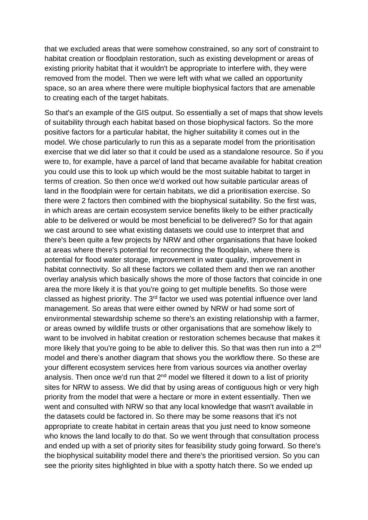that we excluded areas that were somehow constrained, so any sort of constraint to habitat creation or floodplain restoration, such as existing development or areas of existing priority habitat that it wouldn't be appropriate to interfere with, they were removed from the model. Then we were left with what we called an opportunity space, so an area where there were multiple biophysical factors that are amenable to creating each of the target habitats.

So that's an example of the GIS output. So essentially a set of maps that show levels of suitability through each habitat based on those biophysical factors. So the more positive factors for a particular habitat, the higher suitability it comes out in the model. We chose particularly to run this as a separate model from the prioritisation exercise that we did later so that it could be used as a standalone resource. So if you were to, for example, have a parcel of land that became available for habitat creation you could use this to look up which would be the most suitable habitat to target in terms of creation. So then once we'd worked out how suitable particular areas of land in the floodplain were for certain habitats, we did a prioritisation exercise. So there were 2 factors then combined with the biophysical suitability. So the first was, in which areas are certain ecosystem service benefits likely to be either practically able to be delivered or would be most beneficial to be delivered? So for that again we cast around to see what existing datasets we could use to interpret that and there's been quite a few projects by NRW and other organisations that have looked at areas where there's potential for reconnecting the floodplain, where there is potential for flood water storage, improvement in water quality, improvement in habitat connectivity. So all these factors we collated them and then we ran another overlay analysis which basically shows the more of those factors that coincide in one area the more likely it is that you're going to get multiple benefits. So those were classed as highest priority. The 3<sup>rd</sup> factor we used was potential influence over land management. So areas that were either owned by NRW or had some sort of environmental stewardship scheme so there's an existing relationship with a farmer, or areas owned by wildlife trusts or other organisations that are somehow likely to want to be involved in habitat creation or restoration schemes because that makes it more likely that you're going to be able to deliver this. So that was then run into a 2<sup>nd</sup> model and there's another diagram that shows you the workflow there. So these are your different ecosystem services here from various sources via another overlay analysis. Then once we'd run that 2<sup>nd</sup> model we filtered it down to a list of priority sites for NRW to assess. We did that by using areas of contiguous high or very high priority from the model that were a hectare or more in extent essentially. Then we went and consulted with NRW so that any local knowledge that wasn't available in the datasets could be factored in. So there may be some reasons that it's not appropriate to create habitat in certain areas that you just need to know someone who knows the land locally to do that. So we went through that consultation process and ended up with a set of priority sites for feasibility study going forward. So there's the biophysical suitability model there and there's the prioritised version. So you can see the priority sites highlighted in blue with a spotty hatch there. So we ended up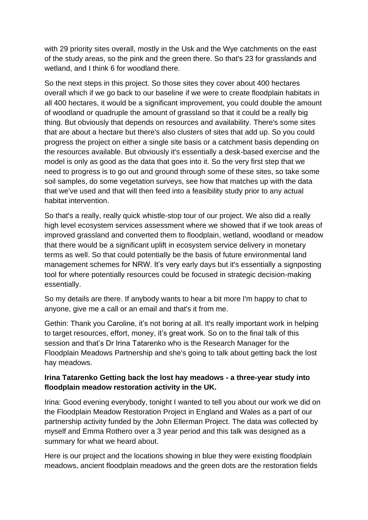with 29 priority sites overall, mostly in the Usk and the Wye catchments on the east of the study areas, so the pink and the green there. So that's 23 for grasslands and wetland, and I think 6 for woodland there.

So the next steps in this project. So those sites they cover about 400 hectares overall which if we go back to our baseline if we were to create floodplain habitats in all 400 hectares, it would be a significant improvement, you could double the amount of woodland or quadruple the amount of grassland so that it could be a really big thing. But obviously that depends on resources and availability. There's some sites that are about a hectare but there's also clusters of sites that add up. So you could progress the project on either a single site basis or a catchment basis depending on the resources available. But obviously it's essentially a desk-based exercise and the model is only as good as the data that goes into it. So the very first step that we need to progress is to go out and ground through some of these sites, so take some soil samples, do some vegetation surveys, see how that matches up with the data that we've used and that will then feed into a feasibility study prior to any actual habitat intervention.

So that's a really, really quick whistle-stop tour of our project. We also did a really high level ecosystem services assessment where we showed that if we took areas of improved grassland and converted them to floodplain, wetland, woodland or meadow that there would be a significant uplift in ecosystem service delivery in monetary terms as well. So that could potentially be the basis of future environmental land management schemes for NRW. It's very early days but it's essentially a signposting tool for where potentially resources could be focused in strategic decision-making essentially.

So my details are there. If anybody wants to hear a bit more I'm happy to chat to anyone, give me a call or an email and that's it from me.

Gethin: Thank you Caroline, it's not boring at all. It's really important work in helping to target resources, effort, money, it's great work. So on to the final talk of this session and that's Dr Irina Tatarenko who is the Research Manager for the Floodplain Meadows Partnership and she's going to talk about getting back the lost hay meadows.

# **Irina Tatarenko Getting back the lost hay meadows - a three-year study into floodplain meadow restoration activity in the UK.**

Irina: Good evening everybody, tonight I wanted to tell you about our work we did on the Floodplain Meadow Restoration Project in England and Wales as a part of our partnership activity funded by the John Ellerman Project. The data was collected by myself and Emma Rothero over a 3 year period and this talk was designed as a summary for what we heard about.

Here is our project and the locations showing in blue they were existing floodplain meadows, ancient floodplain meadows and the green dots are the restoration fields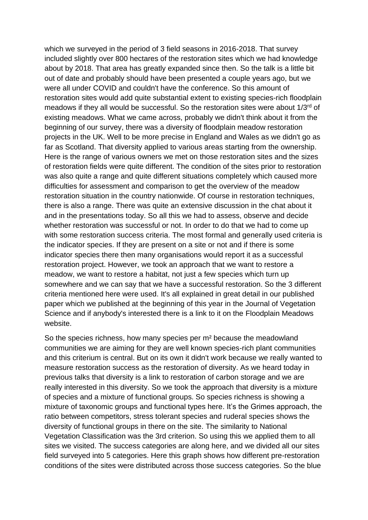which we surveyed in the period of 3 field seasons in 2016-2018. That survey included slightly over 800 hectares of the restoration sites which we had knowledge about by 2018. That area has greatly expanded since then. So the talk is a little bit out of date and probably should have been presented a couple years ago, but we were all under COVID and couldn't have the conference. So this amount of restoration sites would add quite substantial extent to existing species-rich floodplain meadows if they all would be successful. So the restoration sites were about 1/3rd of existing meadows. What we came across, probably we didn't think about it from the beginning of our survey, there was a diversity of floodplain meadow restoration projects in the UK. Well to be more precise in England and Wales as we didn't go as far as Scotland. That diversity applied to various areas starting from the ownership. Here is the range of various owners we met on those restoration sites and the sizes of restoration fields were quite different. The condition of the sites prior to restoration was also quite a range and quite different situations completely which caused more difficulties for assessment and comparison to get the overview of the meadow restoration situation in the country nationwide. Of course in restoration techniques, there is also a range. There was quite an extensive discussion in the chat about it and in the presentations today. So all this we had to assess, observe and decide whether restoration was successful or not. In order to do that we had to come up with some restoration success criteria. The most formal and generally used criteria is the indicator species. If they are present on a site or not and if there is some indicator species there then many organisations would report it as a successful restoration project. However, we took an approach that we want to restore a meadow, we want to restore a habitat, not just a few species which turn up somewhere and we can say that we have a successful restoration. So the 3 different criteria mentioned here were used. It's all explained in great detail in our published paper which we published at the beginning of this year in the Journal of Vegetation Science and if anybody's interested there is a link to it on the Floodplain Meadows website.

So the species richness, how many species per m² because the meadowland communities we are aiming for they are well known species-rich plant communities and this criterium is central. But on its own it didn't work because we really wanted to measure restoration success as the restoration of diversity. As we heard today in previous talks that diversity is a link to restoration of carbon storage and we are really interested in this diversity. So we took the approach that diversity is a mixture of species and a mixture of functional groups. So species richness is showing a mixture of taxonomic groups and functional types here. It's the Grimes approach, the ratio between competitors, stress tolerant species and ruderal species shows the diversity of functional groups in there on the site. The similarity to National Vegetation Classification was the 3rd criterion. So using this we applied them to all sites we visited. The success categories are along here, and we divided all our sites field surveyed into 5 categories. Here this graph shows how different pre-restoration conditions of the sites were distributed across those success categories. So the blue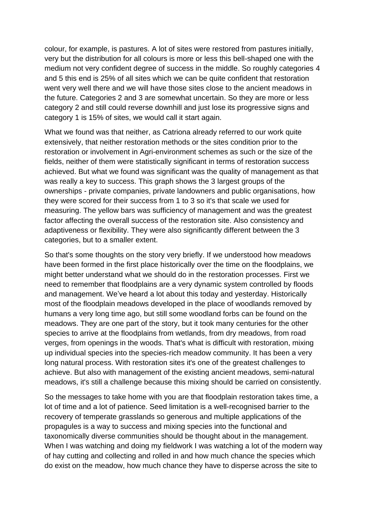colour, for example, is pastures. A lot of sites were restored from pastures initially, very but the distribution for all colours is more or less this bell-shaped one with the medium not very confident degree of success in the middle. So roughly categories 4 and 5 this end is 25% of all sites which we can be quite confident that restoration went very well there and we will have those sites close to the ancient meadows in the future. Categories 2 and 3 are somewhat uncertain. So they are more or less category 2 and still could reverse downhill and just lose its progressive signs and category 1 is 15% of sites, we would call it start again.

What we found was that neither, as Catriona already referred to our work quite extensively, that neither restoration methods or the sites condition prior to the restoration or involvement in Agri-environment schemes as such or the size of the fields, neither of them were statistically significant in terms of restoration success achieved. But what we found was significant was the quality of management as that was really a key to success. This graph shows the 3 largest groups of the ownerships - private companies, private landowners and public organisations, how they were scored for their success from 1 to 3 so it's that scale we used for measuring. The yellow bars was sufficiency of management and was the greatest factor affecting the overall success of the restoration site. Also consistency and adaptiveness or flexibility. They were also significantly different between the 3 categories, but to a smaller extent.

So that's some thoughts on the story very briefly. If we understood how meadows have been formed in the first place historically over the time on the floodplains, we might better understand what we should do in the restoration processes. First we need to remember that floodplains are a very dynamic system controlled by floods and management. We've heard a lot about this today and yesterday. Historically most of the floodplain meadows developed in the place of woodlands removed by humans a very long time ago, but still some woodland forbs can be found on the meadows. They are one part of the story, but it took many centuries for the other species to arrive at the floodplains from wetlands, from dry meadows, from road verges, from openings in the woods. That's what is difficult with restoration, mixing up individual species into the species-rich meadow community. It has been a very long natural process. With restoration sites it's one of the greatest challenges to achieve. But also with management of the existing ancient meadows, semi-natural meadows, it's still a challenge because this mixing should be carried on consistently.

So the messages to take home with you are that floodplain restoration takes time, a lot of time and a lot of patience. Seed limitation is a well-recognised barrier to the recovery of temperate grasslands so generous and multiple applications of the propagules is a way to success and mixing species into the functional and taxonomically diverse communities should be thought about in the management. When I was watching and doing my fieldwork I was watching a lot of the modern way of hay cutting and collecting and rolled in and how much chance the species which do exist on the meadow, how much chance they have to disperse across the site to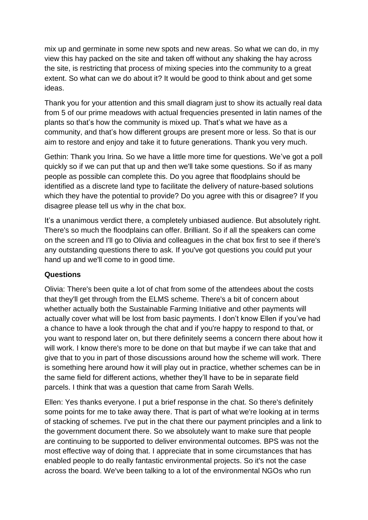mix up and germinate in some new spots and new areas. So what we can do, in my view this hay packed on the site and taken off without any shaking the hay across the site, is restricting that process of mixing species into the community to a great extent. So what can we do about it? It would be good to think about and get some ideas.

Thank you for your attention and this small diagram just to show its actually real data from 5 of our prime meadows with actual frequencies presented in latin names of the plants so that's how the community is mixed up. That's what we have as a community, and that's how different groups are present more or less. So that is our aim to restore and enjoy and take it to future generations. Thank you very much.

Gethin: Thank you Irina. So we have a little more time for questions. We've got a poll quickly so if we can put that up and then we'll take some questions. So if as many people as possible can complete this. Do you agree that floodplains should be identified as a discrete land type to facilitate the delivery of nature-based solutions which they have the potential to provide? Do you agree with this or disagree? If you disagree please tell us why in the chat box.

It's a unanimous verdict there, a completely unbiased audience. But absolutely right. There's so much the floodplains can offer. Brilliant. So if all the speakers can come on the screen and I'll go to Olivia and colleagues in the chat box first to see if there's any outstanding questions there to ask. If you've got questions you could put your hand up and we'll come to in good time.

## **Questions**

Olivia: There's been quite a lot of chat from some of the attendees about the costs that they'll get through from the ELMS scheme. There's a bit of concern about whether actually both the Sustainable Farming Initiative and other payments will actually cover what will be lost from basic payments. I don't know Ellen if you've had a chance to have a look through the chat and if you're happy to respond to that, or you want to respond later on, but there definitely seems a concern there about how it will work. I know there's more to be done on that but maybe if we can take that and give that to you in part of those discussions around how the scheme will work. There is something here around how it will play out in practice, whether schemes can be in the same field for different actions, whether they'll have to be in separate field parcels. I think that was a question that came from Sarah Wells.

Ellen: Yes thanks everyone. I put a brief response in the chat. So there's definitely some points for me to take away there. That is part of what we're looking at in terms of stacking of schemes. I've put in the chat there our payment principles and a link to the government document there. So we absolutely want to make sure that people are continuing to be supported to deliver environmental outcomes. BPS was not the most effective way of doing that. I appreciate that in some circumstances that has enabled people to do really fantastic environmental projects. So it's not the case across the board. We've been talking to a lot of the environmental NGOs who run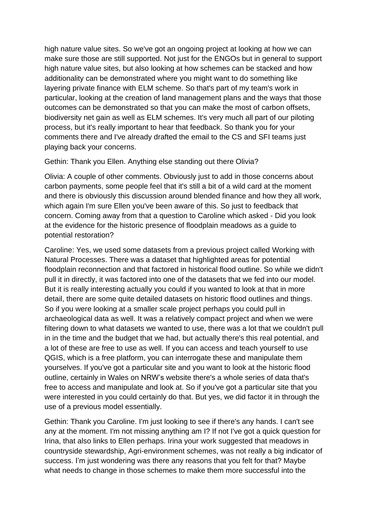high nature value sites. So we've got an ongoing project at looking at how we can make sure those are still supported. Not just for the ENGOs but in general to support high nature value sites, but also looking at how schemes can be stacked and how additionality can be demonstrated where you might want to do something like layering private finance with ELM scheme. So that's part of my team's work in particular, looking at the creation of land management plans and the ways that those outcomes can be demonstrated so that you can make the most of carbon offsets, biodiversity net gain as well as ELM schemes. It's very much all part of our piloting process, but it's really important to hear that feedback. So thank you for your comments there and I've already drafted the email to the CS and SFI teams just playing back your concerns.

#### Gethin: Thank you Ellen. Anything else standing out there Olivia?

Olivia: A couple of other comments. Obviously just to add in those concerns about carbon payments, some people feel that it's still a bit of a wild card at the moment and there is obviously this discussion around blended finance and how they all work, which again I'm sure Ellen you've been aware of this. So just to feedback that concern. Coming away from that a question to Caroline which asked - Did you look at the evidence for the historic presence of floodplain meadows as a guide to potential restoration?

Caroline: Yes, we used some datasets from a previous project called Working with Natural Processes. There was a dataset that highlighted areas for potential floodplain reconnection and that factored in historical flood outline. So while we didn't pull it in directly, it was factored into one of the datasets that we fed into our model. But it is really interesting actually you could if you wanted to look at that in more detail, there are some quite detailed datasets on historic flood outlines and things. So if you were looking at a smaller scale project perhaps you could pull in archaeological data as well. It was a relatively compact project and when we were filtering down to what datasets we wanted to use, there was a lot that we couldn't pull in in the time and the budget that we had, but actually there's this real potential, and a lot of these are free to use as well. If you can access and teach yourself to use QGIS, which is a free platform, you can interrogate these and manipulate them yourselves. If you've got a particular site and you want to look at the historic flood outline, certainly in Wales on NRW's website there's a whole series of data that's free to access and manipulate and look at. So if you've got a particular site that you were interested in you could certainly do that. But yes, we did factor it in through the use of a previous model essentially.

Gethin: Thank you Caroline. I'm just looking to see if there's any hands. I can't see any at the moment. I'm not missing anything am I? If not I've got a quick question for Irina, that also links to Ellen perhaps. Irina your work suggested that meadows in countryside stewardship, Agri-environment schemes, was not really a big indicator of success. I'm just wondering was there any reasons that you felt for that? Maybe what needs to change in those schemes to make them more successful into the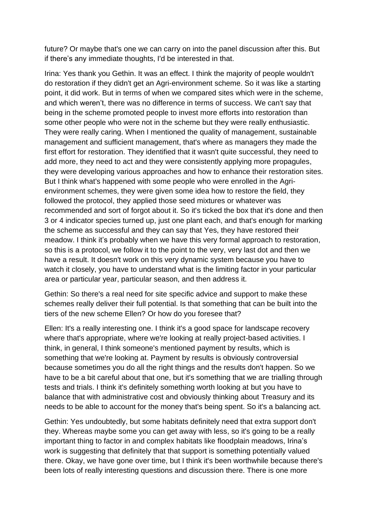future? Or maybe that's one we can carry on into the panel discussion after this. But if there's any immediate thoughts, I'd be interested in that.

Irina: Yes thank you Gethin. It was an effect. I think the majority of people wouldn't do restoration if they didn't get an Agri-environment scheme. So it was like a starting point, it did work. But in terms of when we compared sites which were in the scheme, and which weren't, there was no difference in terms of success. We can't say that being in the scheme promoted people to invest more efforts into restoration than some other people who were not in the scheme but they were really enthusiastic. They were really caring. When I mentioned the quality of management, sustainable management and sufficient management, that's where as managers they made the first effort for restoration. They identified that it wasn't quite successful, they need to add more, they need to act and they were consistently applying more propagules, they were developing various approaches and how to enhance their restoration sites. But I think what's happened with some people who were enrolled in the Agrienvironment schemes, they were given some idea how to restore the field, they followed the protocol, they applied those seed mixtures or whatever was recommended and sort of forgot about it. So it's ticked the box that it's done and then 3 or 4 indicator species turned up, just one plant each, and that's enough for marking the scheme as successful and they can say that Yes, they have restored their meadow. I think it's probably when we have this very formal approach to restoration, so this is a protocol, we follow it to the point to the very, very last dot and then we have a result. It doesn't work on this very dynamic system because you have to watch it closely, you have to understand what is the limiting factor in your particular area or particular year, particular season, and then address it.

Gethin: So there's a real need for site specific advice and support to make these schemes really deliver their full potential. Is that something that can be built into the tiers of the new scheme Ellen? Or how do you foresee that?

Ellen: It's a really interesting one. I think it's a good space for landscape recovery where that's appropriate, where we're looking at really project-based activities. I think, in general, I think someone's mentioned payment by results, which is something that we're looking at. Payment by results is obviously controversial because sometimes you do all the right things and the results don't happen. So we have to be a bit careful about that one, but it's something that we are trialling through tests and trials. I think it's definitely something worth looking at but you have to balance that with administrative cost and obviously thinking about Treasury and its needs to be able to account for the money that's being spent. So it's a balancing act.

Gethin: Yes undoubtedly, but some habitats definitely need that extra support don't they. Whereas maybe some you can get away with less, so it's going to be a really important thing to factor in and complex habitats like floodplain meadows, Irina's work is suggesting that definitely that that support is something potentially valued there. Okay, we have gone over time, but I think it's been worthwhile because there's been lots of really interesting questions and discussion there. There is one more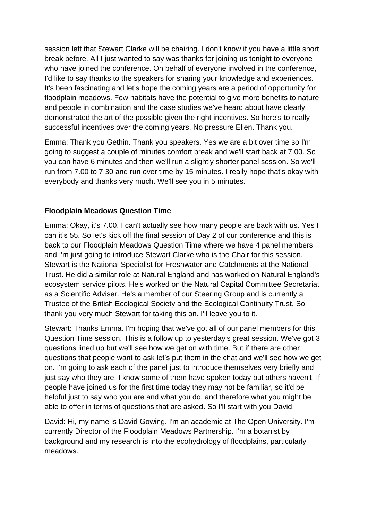session left that Stewart Clarke will be chairing. I don't know if you have a little short break before. All I just wanted to say was thanks for joining us tonight to everyone who have joined the conference. On behalf of everyone involved in the conference, I'd like to say thanks to the speakers for sharing your knowledge and experiences. It's been fascinating and let's hope the coming years are a period of opportunity for floodplain meadows. Few habitats have the potential to give more benefits to nature and people in combination and the case studies we've heard about have clearly demonstrated the art of the possible given the right incentives. So here's to really successful incentives over the coming years. No pressure Ellen. Thank you.

Emma: Thank you Gethin. Thank you speakers. Yes we are a bit over time so I'm going to suggest a couple of minutes comfort break and we'll start back at 7.00. So you can have 6 minutes and then we'll run a slightly shorter panel session. So we'll run from 7.00 to 7.30 and run over time by 15 minutes. I really hope that's okay with everybody and thanks very much. We'll see you in 5 minutes.

## **Floodplain Meadows Question Time**

Emma: Okay, it's 7.00. I can't actually see how many people are back with us. Yes I can it's 55. So let's kick off the final session of Day 2 of our conference and this is back to our Floodplain Meadows Question Time where we have 4 panel members and I'm just going to introduce Stewart Clarke who is the Chair for this session. Stewart is the National Specialist for Freshwater and Catchments at the National Trust. He did a similar role at Natural England and has worked on Natural England's ecosystem service pilots. He's worked on the Natural Capital Committee Secretariat as a Scientific Adviser. He's a member of our Steering Group and is currently a Trustee of the British Ecological Society and the Ecological Continuity Trust. So thank you very much Stewart for taking this on. I'll leave you to it.

Stewart: Thanks Emma. I'm hoping that we've got all of our panel members for this Question Time session. This is a follow up to yesterday's great session. We've got 3 questions lined up but we'll see how we get on with time. But if there are other questions that people want to ask let's put them in the chat and we'll see how we get on. I'm going to ask each of the panel just to introduce themselves very briefly and just say who they are. I know some of them have spoken today but others haven't. If people have joined us for the first time today they may not be familiar, so it'd be helpful just to say who you are and what you do, and therefore what you might be able to offer in terms of questions that are asked. So I'll start with you David.

David: Hi, my name is David Gowing. I'm an academic at The Open University. I'm currently Director of the Floodplain Meadows Partnership. I'm a botanist by background and my research is into the ecohydrology of floodplains, particularly meadows.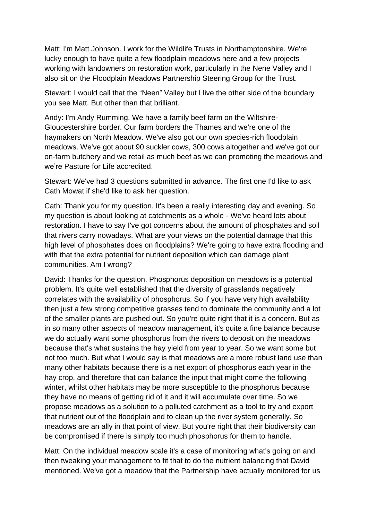Matt: I'm Matt Johnson. I work for the Wildlife Trusts in Northamptonshire. We're lucky enough to have quite a few floodplain meadows here and a few projects working with landowners on restoration work, particularly in the Nene Valley and I also sit on the Floodplain Meadows Partnership Steering Group for the Trust.

Stewart: I would call that the "Neen" Valley but I live the other side of the boundary you see Matt. But other than that brilliant.

Andy: I'm Andy Rumming. We have a family beef farm on the Wiltshire-Gloucestershire border. Our farm borders the Thames and we're one of the haymakers on North Meadow. We've also got our own species-rich floodplain meadows. We've got about 90 suckler cows, 300 cows altogether and we've got our on-farm butchery and we retail as much beef as we can promoting the meadows and we're Pasture for Life accredited.

Stewart: We've had 3 questions submitted in advance. The first one I'd like to ask Cath Mowat if she'd like to ask her question.

Cath: Thank you for my question. It's been a really interesting day and evening. So my question is about looking at catchments as a whole - We've heard lots about restoration. I have to say I've got concerns about the amount of phosphates and soil that rivers carry nowadays. What are your views on the potential damage that this high level of phosphates does on floodplains? We're going to have extra flooding and with that the extra potential for nutrient deposition which can damage plant communities. Am I wrong?

David: Thanks for the question. Phosphorus deposition on meadows is a potential problem. It's quite well established that the diversity of grasslands negatively correlates with the availability of phosphorus. So if you have very high availability then just a few strong competitive grasses tend to dominate the community and a lot of the smaller plants are pushed out. So you're quite right that it is a concern. But as in so many other aspects of meadow management, it's quite a fine balance because we do actually want some phosphorus from the rivers to deposit on the meadows because that's what sustains the hay yield from year to year. So we want some but not too much. But what I would say is that meadows are a more robust land use than many other habitats because there is a net export of phosphorus each year in the hay crop, and therefore that can balance the input that might come the following winter, whilst other habitats may be more susceptible to the phosphorus because they have no means of getting rid of it and it will accumulate over time. So we propose meadows as a solution to a polluted catchment as a tool to try and export that nutrient out of the floodplain and to clean up the river system generally. So meadows are an ally in that point of view. But you're right that their biodiversity can be compromised if there is simply too much phosphorus for them to handle.

Matt: On the individual meadow scale it's a case of monitoring what's going on and then tweaking your management to fit that to do the nutrient balancing that David mentioned. We've got a meadow that the Partnership have actually monitored for us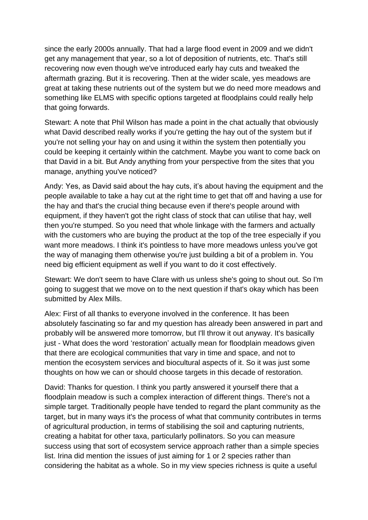since the early 2000s annually. That had a large flood event in 2009 and we didn't get any management that year, so a lot of deposition of nutrients, etc. That's still recovering now even though we've introduced early hay cuts and tweaked the aftermath grazing. But it is recovering. Then at the wider scale, yes meadows are great at taking these nutrients out of the system but we do need more meadows and something like ELMS with specific options targeted at floodplains could really help that going forwards.

Stewart: A note that Phil Wilson has made a point in the chat actually that obviously what David described really works if you're getting the hay out of the system but if you're not selling your hay on and using it within the system then potentially you could be keeping it certainly within the catchment. Maybe you want to come back on that David in a bit. But Andy anything from your perspective from the sites that you manage, anything you've noticed?

Andy: Yes, as David said about the hay cuts, it's about having the equipment and the people available to take a hay cut at the right time to get that off and having a use for the hay and that's the crucial thing because even if there's people around with equipment, if they haven't got the right class of stock that can utilise that hay, well then you're stumped. So you need that whole linkage with the farmers and actually with the customers who are buying the product at the top of the tree especially if you want more meadows. I think it's pointless to have more meadows unless you've got the way of managing them otherwise you're just building a bit of a problem in. You need big efficient equipment as well if you want to do it cost effectively.

Stewart: We don't seem to have Clare with us unless she's going to shout out. So I'm going to suggest that we move on to the next question if that's okay which has been submitted by Alex Mills.

Alex: First of all thanks to everyone involved in the conference. It has been absolutely fascinating so far and my question has already been answered in part and probably will be answered more tomorrow, but I'll throw it out anyway. It's basically just - What does the word 'restoration' actually mean for floodplain meadows given that there are ecological communities that vary in time and space, and not to mention the ecosystem services and biocultural aspects of it. So it was just some thoughts on how we can or should choose targets in this decade of restoration.

David: Thanks for question. I think you partly answered it yourself there that a floodplain meadow is such a complex interaction of different things. There's not a simple target. Traditionally people have tended to regard the plant community as the target, but in many ways it's the process of what that community contributes in terms of agricultural production, in terms of stabilising the soil and capturing nutrients, creating a habitat for other taxa, particularly pollinators. So you can measure success using that sort of ecosystem service approach rather than a simple species list. Irina did mention the issues of just aiming for 1 or 2 species rather than considering the habitat as a whole. So in my view species richness is quite a useful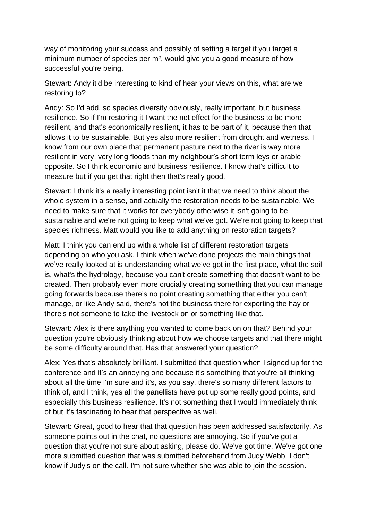way of monitoring your success and possibly of setting a target if you target a minimum number of species per m², would give you a good measure of how successful you're being.

Stewart: Andy it'd be interesting to kind of hear your views on this, what are we restoring to?

Andy: So I'd add, so species diversity obviously, really important, but business resilience. So if I'm restoring it I want the net effect for the business to be more resilient, and that's economically resilient, it has to be part of it, because then that allows it to be sustainable. But yes also more resilient from drought and wetness. I know from our own place that permanent pasture next to the river is way more resilient in very, very long floods than my neighbour's short term leys or arable opposite. So I think economic and business resilience. I know that's difficult to measure but if you get that right then that's really good.

Stewart: I think it's a really interesting point isn't it that we need to think about the whole system in a sense, and actually the restoration needs to be sustainable. We need to make sure that it works for everybody otherwise it isn't going to be sustainable and we're not going to keep what we've got. We're not going to keep that species richness. Matt would you like to add anything on restoration targets?

Matt: I think you can end up with a whole list of different restoration targets depending on who you ask. I think when we've done projects the main things that we've really looked at is understanding what we've got in the first place, what the soil is, what's the hydrology, because you can't create something that doesn't want to be created. Then probably even more crucially creating something that you can manage going forwards because there's no point creating something that either you can't manage, or like Andy said, there's not the business there for exporting the hay or there's not someone to take the livestock on or something like that.

Stewart: Alex is there anything you wanted to come back on on that? Behind your question you're obviously thinking about how we choose targets and that there might be some difficulty around that. Has that answered your question?

Alex: Yes that's absolutely brilliant. I submitted that question when I signed up for the conference and it's an annoying one because it's something that you're all thinking about all the time I'm sure and it's, as you say, there's so many different factors to think of, and I think, yes all the panellists have put up some really good points, and especially this business resilience. It's not something that I would immediately think of but it's fascinating to hear that perspective as well.

Stewart: Great, good to hear that that question has been addressed satisfactorily. As someone points out in the chat, no questions are annoying. So if you've got a question that you're not sure about asking, please do. We've got time. We've got one more submitted question that was submitted beforehand from Judy Webb. I don't know if Judy's on the call. I'm not sure whether she was able to join the session.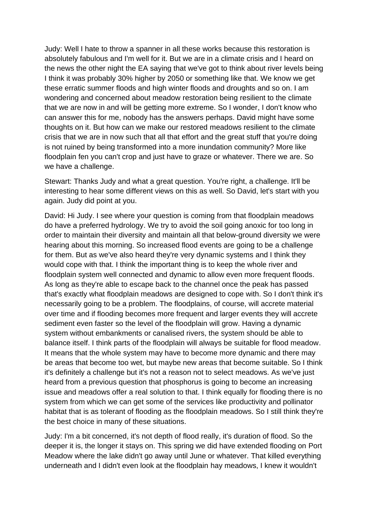Judy: Well I hate to throw a spanner in all these works because this restoration is absolutely fabulous and I'm well for it. But we are in a climate crisis and I heard on the news the other night the EA saying that we've got to think about river levels being I think it was probably 30% higher by 2050 or something like that. We know we get these erratic summer floods and high winter floods and droughts and so on. I am wondering and concerned about meadow restoration being resilient to the climate that we are now in and will be getting more extreme. So I wonder, I don't know who can answer this for me, nobody has the answers perhaps. David might have some thoughts on it. But how can we make our restored meadows resilient to the climate crisis that we are in now such that all that effort and the great stuff that you're doing is not ruined by being transformed into a more inundation community? More like floodplain fen you can't crop and just have to graze or whatever. There we are. So we have a challenge.

Stewart: Thanks Judy and what a great question. You're right, a challenge. It'll be interesting to hear some different views on this as well. So David, let's start with you again. Judy did point at you.

David: Hi Judy. I see where your question is coming from that floodplain meadows do have a preferred hydrology. We try to avoid the soil going anoxic for too long in order to maintain their diversity and maintain all that below-ground diversity we were hearing about this morning. So increased flood events are going to be a challenge for them. But as we've also heard they're very dynamic systems and I think they would cope with that. I think the important thing is to keep the whole river and floodplain system well connected and dynamic to allow even more frequent floods. As long as they're able to escape back to the channel once the peak has passed that's exactly what floodplain meadows are designed to cope with. So I don't think it's necessarily going to be a problem. The floodplains, of course, will accrete material over time and if flooding becomes more frequent and larger events they will accrete sediment even faster so the level of the floodplain will grow. Having a dynamic system without embankments or canalised rivers, the system should be able to balance itself. I think parts of the floodplain will always be suitable for flood meadow. It means that the whole system may have to become more dynamic and there may be areas that become too wet, but maybe new areas that become suitable. So I think it's definitely a challenge but it's not a reason not to select meadows. As we've just heard from a previous question that phosphorus is going to become an increasing issue and meadows offer a real solution to that. I think equally for flooding there is no system from which we can get some of the services like productivity and pollinator habitat that is as tolerant of flooding as the floodplain meadows. So I still think they're the best choice in many of these situations.

Judy: I'm a bit concerned, it's not depth of flood really, it's duration of flood. So the deeper it is, the longer it stays on. This spring we did have extended flooding on Port Meadow where the lake didn't go away until June or whatever. That killed everything underneath and I didn't even look at the floodplain hay meadows, I knew it wouldn't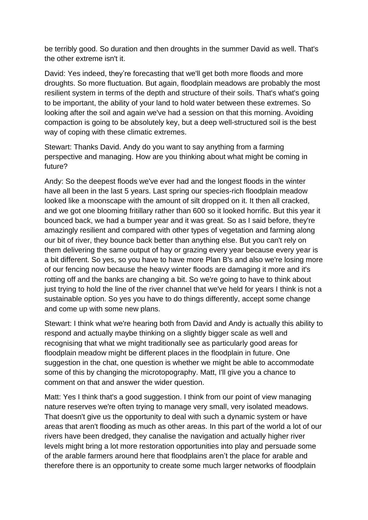be terribly good. So duration and then droughts in the summer David as well. That's the other extreme isn't it.

David: Yes indeed, they're forecasting that we'll get both more floods and more droughts. So more fluctuation. But again, floodplain meadows are probably the most resilient system in terms of the depth and structure of their soils. That's what's going to be important, the ability of your land to hold water between these extremes. So looking after the soil and again we've had a session on that this morning. Avoiding compaction is going to be absolutely key, but a deep well-structured soil is the best way of coping with these climatic extremes.

Stewart: Thanks David. Andy do you want to say anything from a farming perspective and managing. How are you thinking about what might be coming in future?

Andy: So the deepest floods we've ever had and the longest floods in the winter have all been in the last 5 years. Last spring our species-rich floodplain meadow looked like a moonscape with the amount of silt dropped on it. It then all cracked, and we got one blooming fritillary rather than 600 so it looked horrific. But this year it bounced back, we had a bumper year and it was great. So as I said before, they're amazingly resilient and compared with other types of vegetation and farming along our bit of river, they bounce back better than anything else. But you can't rely on them delivering the same output of hay or grazing every year because every year is a bit different. So yes, so you have to have more Plan B's and also we're losing more of our fencing now because the heavy winter floods are damaging it more and it's rotting off and the banks are changing a bit. So we're going to have to think about just trying to hold the line of the river channel that we've held for years I think is not a sustainable option. So yes you have to do things differently, accept some change and come up with some new plans.

Stewart: I think what we're hearing both from David and Andy is actually this ability to respond and actually maybe thinking on a slightly bigger scale as well and recognising that what we might traditionally see as particularly good areas for floodplain meadow might be different places in the floodplain in future. One suggestion in the chat, one question is whether we might be able to accommodate some of this by changing the microtopography. Matt, I'll give you a chance to comment on that and answer the wider question.

Matt: Yes I think that's a good suggestion. I think from our point of view managing nature reserves we're often trying to manage very small, very isolated meadows. That doesn't give us the opportunity to deal with such a dynamic system or have areas that aren't flooding as much as other areas. In this part of the world a lot of our rivers have been dredged, they canalise the navigation and actually higher river levels might bring a lot more restoration opportunities into play and persuade some of the arable farmers around here that floodplains aren't the place for arable and therefore there is an opportunity to create some much larger networks of floodplain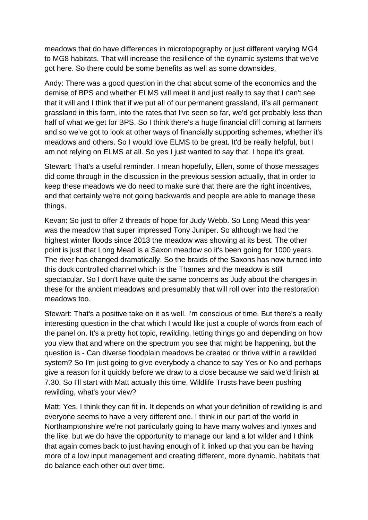meadows that do have differences in microtopography or just different varying MG4 to MG8 habitats. That will increase the resilience of the dynamic systems that we've got here. So there could be some benefits as well as some downsides.

Andy: There was a good question in the chat about some of the economics and the demise of BPS and whether ELMS will meet it and just really to say that I can't see that it will and I think that if we put all of our permanent grassland, it's all permanent grassland in this farm, into the rates that I've seen so far, we'd get probably less than half of what we get for BPS. So I think there's a huge financial cliff coming at farmers and so we've got to look at other ways of financially supporting schemes, whether it's meadows and others. So I would love ELMS to be great. It'd be really helpful, but I am not relying on ELMS at all. So yes I just wanted to say that. I hope it's great.

Stewart: That's a useful reminder. I mean hopefully, Ellen, some of those messages did come through in the discussion in the previous session actually, that in order to keep these meadows we do need to make sure that there are the right incentives, and that certainly we're not going backwards and people are able to manage these things.

Kevan: So just to offer 2 threads of hope for Judy Webb. So Long Mead this year was the meadow that super impressed Tony Juniper. So although we had the highest winter floods since 2013 the meadow was showing at its best. The other point is just that Long Mead is a Saxon meadow so it's been going for 1000 years. The river has changed dramatically. So the braids of the Saxons has now turned into this dock controlled channel which is the Thames and the meadow is still spectacular. So I don't have quite the same concerns as Judy about the changes in these for the ancient meadows and presumably that will roll over into the restoration meadows too.

Stewart: That's a positive take on it as well. I'm conscious of time. But there's a really interesting question in the chat which I would like just a couple of words from each of the panel on. It's a pretty hot topic, rewilding, letting things go and depending on how you view that and where on the spectrum you see that might be happening, but the question is - Can diverse floodplain meadows be created or thrive within a rewilded system? So I'm just going to give everybody a chance to say Yes or No and perhaps give a reason for it quickly before we draw to a close because we said we'd finish at 7.30. So I'll start with Matt actually this time. Wildlife Trusts have been pushing rewilding, what's your view?

Matt: Yes, I think they can fit in. It depends on what your definition of rewilding is and everyone seems to have a very different one. I think in our part of the world in Northamptonshire we're not particularly going to have many wolves and lynxes and the like, but we do have the opportunity to manage our land a lot wilder and I think that again comes back to just having enough of it linked up that you can be having more of a low input management and creating different, more dynamic, habitats that do balance each other out over time.